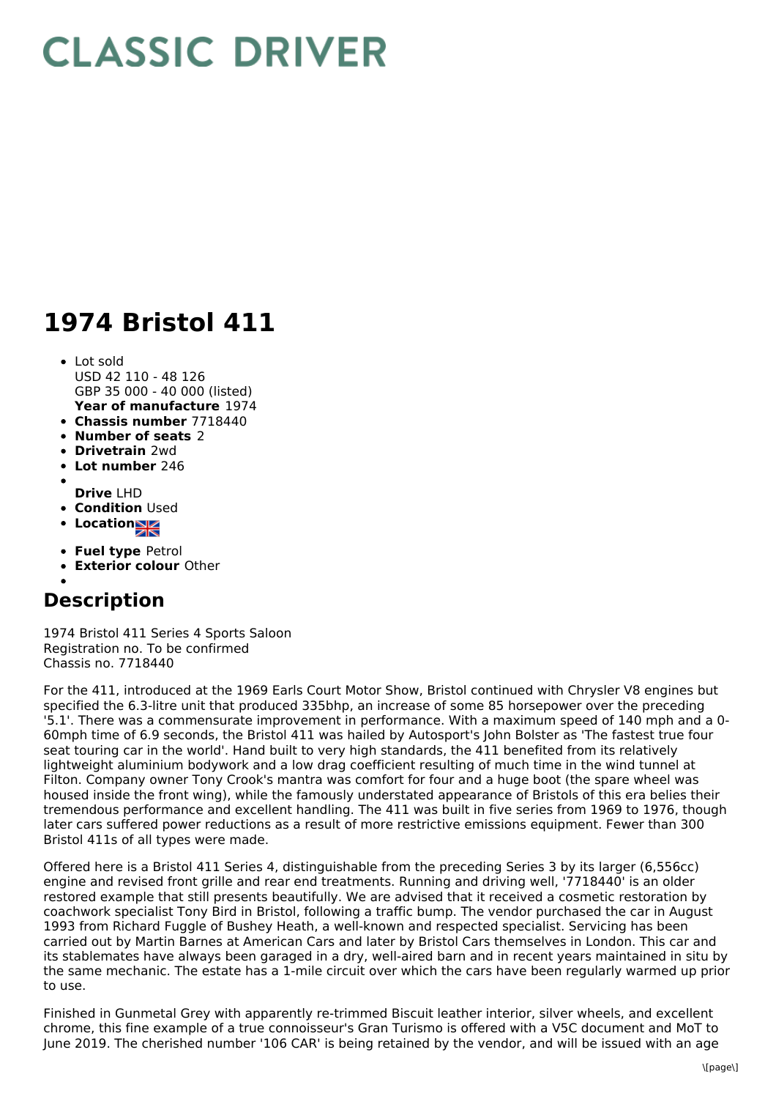## **CLASSIC DRIVER**

## **1974 Bristol 411**

- **Year of manufacture** 1974 • Lot sold USD 42 110 - 48 126 GBP 35 000 - 40 000 (listed)
- **Chassis number** 7718440
- **Number of seats** 2
- **Drivetrain** 2wd
- **Lot number** 246
- **Drive** LHD
- **Condition Used**
- Location<sub>al</sub>
- 
- **Fuel type** Petrol
- **Exterior colour** Other

## **Description**

1974 Bristol 411 Series 4 Sports Saloon Registration no. To be confirmed Chassis no. 7718440

For the 411, introduced at the 1969 Earls Court Motor Show, Bristol continued with Chrysler V8 engines but specified the 6.3-litre unit that produced 335bhp, an increase of some 85 horsepower over the preceding '5.1'. There was a commensurate improvement in performance. With a maximum speed of 140 mph and a 0- 60mph time of 6.9 seconds, the Bristol 411 was hailed by Autosport's John Bolster as 'The fastest true four seat touring car in the world'. Hand built to very high standards, the 411 benefited from its relatively lightweight aluminium bodywork and a low drag coefficient resulting of much time in the wind tunnel at Filton. Company owner Tony Crook's mantra was comfort for four and a huge boot (the spare wheel was housed inside the front wing), while the famously understated appearance of Bristols of this era belies their tremendous performance and excellent handling. The 411 was built in five series from 1969 to 1976, though later cars suffered power reductions as a result of more restrictive emissions equipment. Fewer than 300 Bristol 411s of all types were made.

Offered here is a Bristol 411 Series 4, distinguishable from the preceding Series 3 by its larger (6,556cc) engine and revised front grille and rear end treatments. Running and driving well, '7718440' is an older restored example that still presents beautifully. We are advised that it received a cosmetic restoration by coachwork specialist Tony Bird in Bristol, following a traffic bump. The vendor purchased the car in August 1993 from Richard Fuggle of Bushey Heath, a well-known and respected specialist. Servicing has been carried out by Martin Barnes at American Cars and later by Bristol Cars themselves in London. This car and its stablemates have always been garaged in a dry, well-aired barn and in recent years maintained in situ by the same mechanic. The estate has a 1-mile circuit over which the cars have been regularly warmed up prior to use.

Finished in Gunmetal Grey with apparently re-trimmed Biscuit leather interior, silver wheels, and excellent chrome, this fine example of a true connoisseur's Gran Turismo is offered with a V5C document and MoT to June 2019. The cherished number '106 CAR' is being retained by the vendor, and will be issued with an age